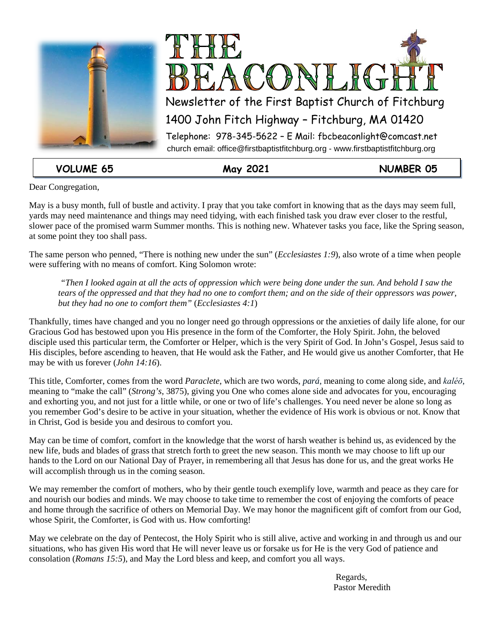



**VOLUME 65 May 2021 NUMBER 05**

Dear Congregation,

May is a busy month, full of bustle and activity. I pray that you take comfort in knowing that as the days may seem full, yards may need maintenance and things may need tidying, with each finished task you draw ever closer to the restful, slower pace of the promised warm Summer months. This is nothing new. Whatever tasks you face, like the Spring season, at some point they too shall pass.

The same person who penned, "There is nothing new under the sun" (*Ecclesiastes 1:9*), also wrote of a time when people were suffering with no means of comfort. King Solomon wrote:

*"Then I looked again at all the acts of oppression which were being done under the sun. And behold I saw the tears of the oppressed and that they had no one to comfort them; and on the side of their oppressors was power, but they had no one to comfort them"* (*Ecclesiastes 4:1*)

Thankfully, times have changed and you no longer need go through oppressions or the anxieties of daily life alone, for our Gracious God has bestowed upon you His presence in the form of the Comforter, the Holy Spirit. John, the beloved disciple used this particular term, the Comforter or Helper, which is the very Spirit of God. In John's Gospel, Jesus said to His disciples, before ascending to heaven, that He would ask the Father, and He would give us another Comforter, that He may be with us forever (*John 14:16*).

This title, Comforter, comes from the word *Paraclete*, which are two words, *pará*, meaning to come along side, and *kaléō*, meaning to "make the call" (*Strong's*, 3875), giving you One who comes alone side and advocates for you, encouraging and exhorting you, and not just for a little while, or one or two of life's challenges. You need never be alone so long as you remember God's desire to be active in your situation, whether the evidence of His work is obvious or not. Know that in Christ, God is beside you and desirous to comfort you.

May can be time of comfort, comfort in the knowledge that the worst of harsh weather is behind us, as evidenced by the new life, buds and blades of grass that stretch forth to greet the new season. This month we may choose to lift up our hands to the Lord on our National Day of Prayer, in remembering all that Jesus has done for us, and the great works He will accomplish through us in the coming season.

We may remember the comfort of mothers, who by their gentle touch exemplify love, warmth and peace as they care for and nourish our bodies and minds. We may choose to take time to remember the cost of enjoying the comforts of peace and home through the sacrifice of others on Memorial Day. We may honor the magnificent gift of comfort from our God, whose Spirit, the Comforter, is God with us. How comforting!

May we celebrate on the day of Pentecost, the Holy Spirit who is still alive, active and working in and through us and our situations, who has given His word that He will never leave us or forsake us for He is the very God of patience and consolation (*Romans 15:5*), and May the Lord bless and keep, and comfort you all ways.

Regards, Pastor Meredith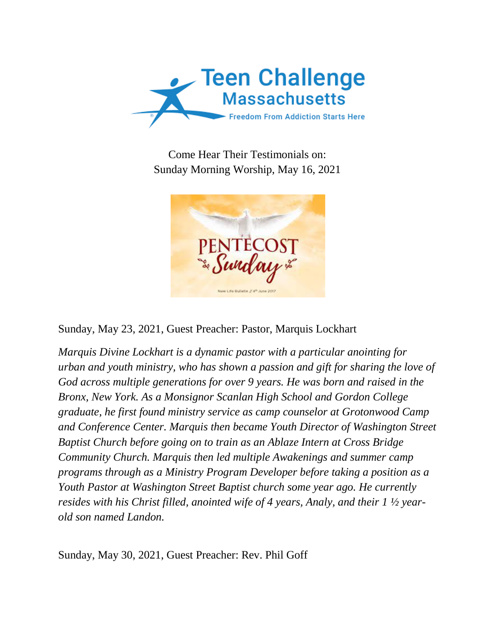

Come Hear Their Testimonials on: Sunday Morning Worship, May 16, 2021



Sunday, May 23, 2021, Guest Preacher: Pastor, Marquis Lockhart

*Marquis Divine Lockhart is a dynamic pastor with a particular anointing for urban and youth ministry, who has shown a passion and gift for sharing the love of God across multiple generations for over 9 years. He was born and raised in the Bronx, New York. As a Monsignor Scanlan High School and Gordon College graduate, he first found ministry service as camp counselor at Grotonwood Camp and Conference Center. Marquis then became Youth Director of Washington Street Baptist Church before going on to train as an Ablaze Intern at Cross Bridge Community Church. Marquis then led multiple Awakenings and summer camp programs through as a Ministry Program Developer before taking a position as a Youth Pastor at Washington Street Baptist church some year ago. He currently resides with his Christ filled, anointed wife of 4 years, Analy, and their 1 ½ yearold son named Landon.*

Sunday, May 30, 2021, Guest Preacher: Rev. Phil Goff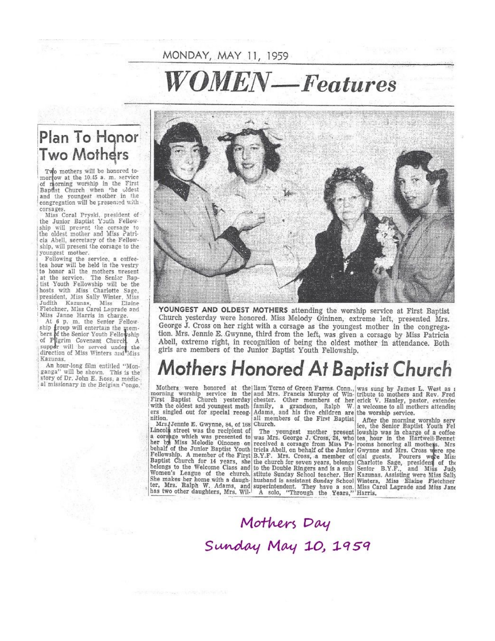## MONDAY, MAY 11, 1959

## OMEN-Features

#### Plan To Honor Two Mothers

Two mothers will be honored tomorrow at the 10.45 a. m. service of morning worship in the First<br>Baptist Church when the oldest and the youngest mother in the congregation will be presented with

corsages.<br>Miss Coral Pryski, president of<br>the Junior Baptist Youth Fellow ship will present the corsage to<br>the oldest mother and Miss Patricia Abell, secretary of the Fellow-<br>ship, will present the corsage to the youngest mother.

Following the service, a coffeetea hour will be held in the vestry to honor all the mothers present<br>at the service. The Senior Baptist Youth Fellowship will be the hosts with Miss Charlotte Sage, president, Miss Sally Winter, Miss<br>Judith Kazunas, Miss Elaine Fletchner, Miss Carol Laprade and Miss Janne Harris in charge.

At 8 p. m. the Senior Fellow.<br>ship troup will entertain the members of the Senior Youth Fellowship of Plerim Covenant Church A<br>supper will be served under the direction of Miss Winters and Miss Kazunas.

An hour-long film entitled "Monganga" will be shown. This is the story of Dr. John E. Ross, a medical missionary in the Belgian Congo.



YOUNGEST AND OLDEST MOTHERS attending the worship service at First Baptist Church yesterday were honored. Miss Melody Oininen, extreme left, presented Mrs. George J. Cross on her right with a corsage as the youngest mother in the congregation. Mrs. Jennie E. Gwynne, third from the left, was given a corsage by Miss Patricia Abell, extreme right, in recognition of being the oldest mother in attendance. Both girls are members of the Junior Baptist Youth Fellowship.

### **Mothers Honored At Baptist Church**

nition.

Mothers were honored at the liam Torno of Green Farms Conn., was sung by James L. West as a morning worship service in the and Mrs. Francis Murphy of Win- tribute to mothers and Rev. Fred First Baptist Church yesterday che with the oldest and youngest moth family, a grandson, Ralph W. a welcome to all mot all members of the First Baptist

nition. Jet II all members of the First Baptist After the morning worship server lincols street was the recipient of The youngest mother present lowship was in charge of a corsing which was presented to was Mrs. George J.

W. a welcome to all mothers attending

After the morning worship service, the Senior Baptist Youth Fel

# Mothers Day<br>Sunday May 10, 1959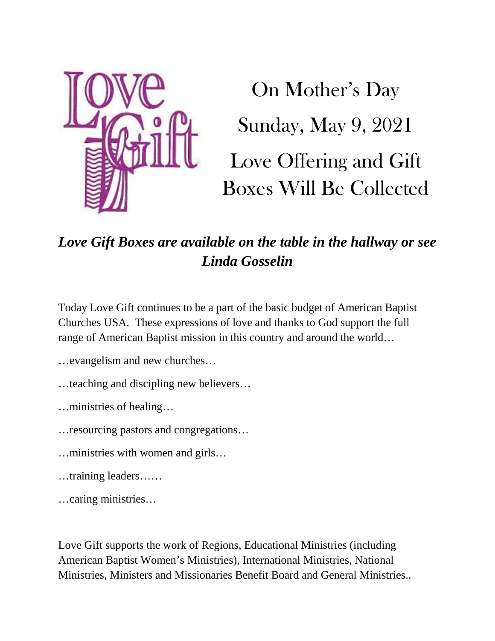

On Mother's Day Sunday, May 9, 2021 Love Offering and Gift Boxes Will Be Collected

#### *Love Gift Boxes are available on the table in the hallway or see Linda Gosselin*

Today Love Gift continues to be a part of the basic budget of American Baptist Churches USA. These expressions of love and thanks to God support the full range of American Baptist mission in this country and around the world…

- …evangelism and new churches…
- …teaching and discipling new believers…
- …ministries of healing…
- …resourcing pastors and congregations…
- …ministries with women and girls…
- …training leaders……
- …caring ministries…

Love Gift supports the work of Regions, Educational Ministries (including American Baptist Women's Ministries), International Ministries, National Ministries, Ministers and Missionaries Benefit Board and General Ministries..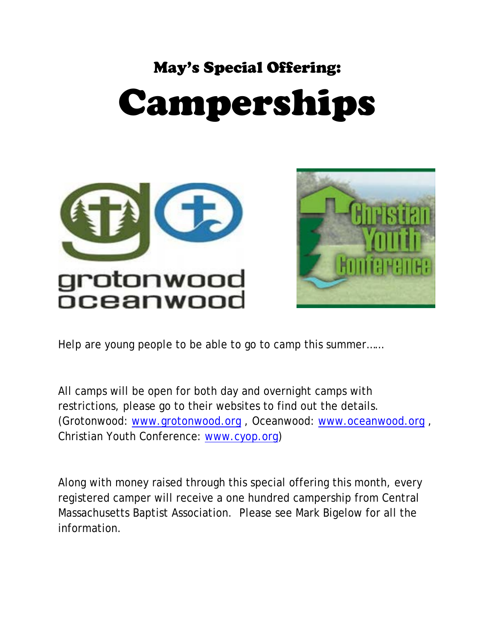#### May's Special Offering:

# Camperships





Help are young people to be able to go to camp this summer……

All camps will be open for both day and overnight camps with restrictions, please go to their websites to find out the details. (Grotonwood: [www.grotonwood.org](http://www.grotonwood.org/) , Oceanwood: [www.oceanwood.org](http://www.oceanwood.org/) , Christian Youth Conference: [www.cyop.org\)](http://www.cyop.org/)

Along with money raised through this special offering this month, every registered camper will receive a one hundred campership from Central Massachusetts Baptist Association. Please see Mark Bigelow for all the information.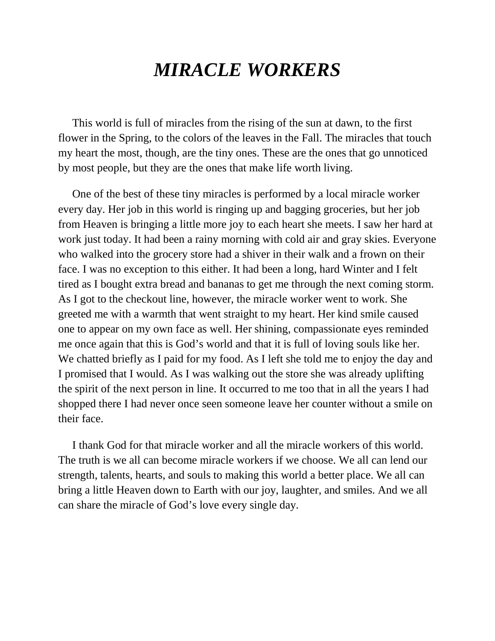### *MIRACLE WORKERS*

 This world is full of miracles from the rising of the sun at dawn, to the first flower in the Spring, to the colors of the leaves in the Fall. The miracles that touch my heart the most, though, are the tiny ones. These are the ones that go unnoticed by most people, but they are the ones that make life worth living.

 One of the best of these tiny miracles is performed by a local miracle worker every day. Her job in this world is ringing up and bagging groceries, but her job from Heaven is bringing a little more joy to each heart she meets. I saw her hard at work just today. It had been a rainy morning with cold air and gray skies. Everyone who walked into the grocery store had a shiver in their walk and a frown on their face. I was no exception to this either. It had been a long, hard Winter and I felt tired as I bought extra bread and bananas to get me through the next coming storm. As I got to the checkout line, however, the miracle worker went to work. She greeted me with a warmth that went straight to my heart. Her kind smile caused one to appear on my own face as well. Her shining, compassionate eyes reminded me once again that this is God's world and that it is full of loving souls like her. We chatted briefly as I paid for my food. As I left she told me to enjoy the day and I promised that I would. As I was walking out the store she was already uplifting the spirit of the next person in line. It occurred to me too that in all the years I had shopped there I had never once seen someone leave her counter without a smile on their face.

 I thank God for that miracle worker and all the miracle workers of this world. The truth is we all can become miracle workers if we choose. We all can lend our strength, talents, hearts, and souls to making this world a better place. We all can bring a little Heaven down to Earth with our joy, laughter, and smiles. And we all can share the miracle of God's love every single day.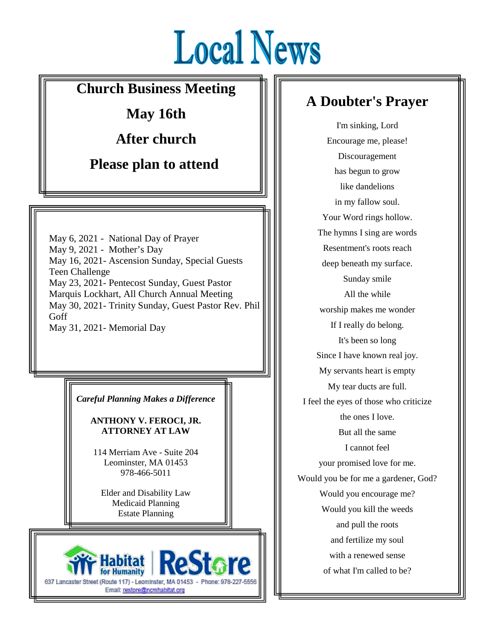# **Local News**

 $\equiv$ 

#### **Church Business Meeting**

**May 16th**

**After church**

**Please plan to attend**

May 6, 2021 - National Day of Prayer May 9, 2021 - Mother's Day May 16, 2021- Ascension Sunday, Special Guests Teen Challenge May 23, 2021- Pentecost Sunday, Guest Pastor Marquis Lockhart, All Church Annual Meeting May 30, 2021- Trinity Sunday, Guest Pastor Rev. Phil Goff May 31, 2021- Memorial Day

*Careful Planning Makes a Difference*

**ANTHONY V. FEROCI, JR. ATTORNEY AT LAW**

114 Merriam Ave - Suite 204 Leominster, MA 01453 978-466-5011

Elder and Disability Law Medicaid Planning Estate Planning



#### **A Doubter's Prayer**

I'm sinking, Lord Encourage me, please! Discouragement has begun to grow like dandelions in my fallow soul. Your Word rings hollow. The hymns I sing are words Resentment's roots reach deep beneath my surface. Sunday smile All the while worship makes me wonder If I really do belong. It's been so long Since I have known real joy. My servants heart is empty My tear ducts are full. I feel the eyes of those who criticize the ones I love. But all the same I cannot feel your promised love for me. Would you be for me a gardener, God? Would you encourage me? Would you kill the weeds and pull the roots and fertilize my soul with a renewed sense of what I'm called to be?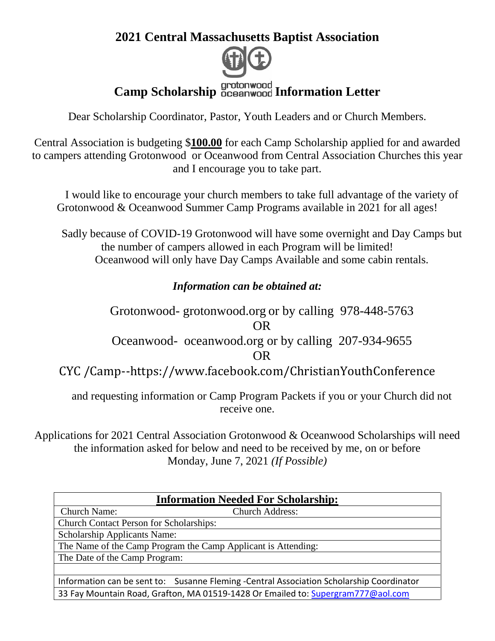#### **2021 Central Massachusetts Baptist Association**



Dear Scholarship Coordinator, Pastor, Youth Leaders and or Church Members.

Central Association is budgeting \$**100.00** for each Camp Scholarship applied for and awarded to campers attending Grotonwood or Oceanwood from Central Association Churches this year and I encourage you to take part.

I would like to encourage your church members to take full advantage of the variety of Grotonwood & Oceanwood Summer Camp Programs available in 2021 for all ages!

Sadly because of COVID-19 Grotonwood will have some overnight and Day Camps but the number of campers allowed in each Program will be limited! Oceanwood will only have Day Camps Available and some cabin rentals.

#### *Information can be obtained at:*

Grotonwood- grotonwood.org or by calling 978-448-5763 OR Oceanwood- oceanwood.org or by calling 207-934-9655 OR CYC /Camp--https://www.facebook.com/ChristianYouthConference

and requesting information or Camp Program Packets if you or your Church did not receive one.

Applications for 2021 Central Association Grotonwood & Oceanwood Scholarships will need the information asked for below and need to be received by me, on or before Monday, June 7, 2021 *(If Possible)*

| <b>Information Needed For Scholarship:</b>                                       |                                                                                           |
|----------------------------------------------------------------------------------|-------------------------------------------------------------------------------------------|
| <b>Church Name:</b>                                                              | <b>Church Address:</b>                                                                    |
| <b>Church Contact Person for Scholarships:</b>                                   |                                                                                           |
| <b>Scholarship Applicants Name:</b>                                              |                                                                                           |
| The Name of the Camp Program the Camp Applicant is Attending:                    |                                                                                           |
| The Date of the Camp Program:                                                    |                                                                                           |
|                                                                                  |                                                                                           |
|                                                                                  | Information can be sent to: Susanne Fleming - Central Association Scholarship Coordinator |
| 33 Fay Mountain Road, Grafton, MA 01519-1428 Or Emailed to: Supergram777@aol.com |                                                                                           |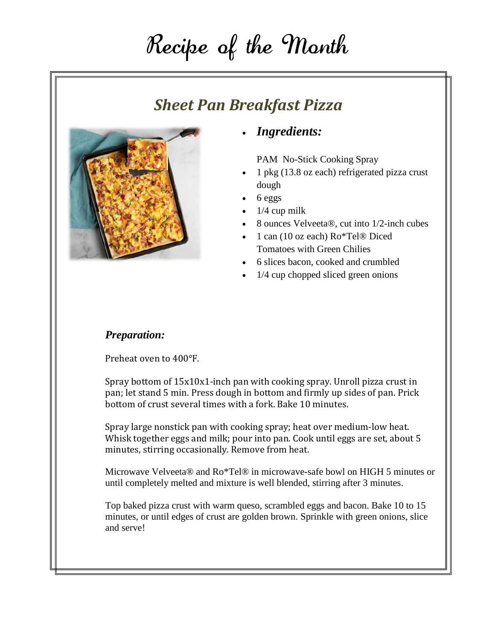# Recipe of the Month

#### *Sheet Pan Breakfast Pizza*



#### • *Ingredients:*

PAM No-Stick Cooking Spray

- 1 pkg (13.8 oz each) refrigerated pizza crust dough
- $\bullet$  6 eggs
- $\bullet$  1/4 cup milk
- 8 ounces Velveeta®, cut into 1/2-inch cubes
- 1 can (10 oz each) Ro\*Tel® Diced Tomatoes with Green Chilies
- 6 slices bacon, cooked and crumbled
- 1/4 cup chopped sliced green onions

#### *Preparation:*

Preheat oven to 400°F.

Spray bottom of 15x10x1-inch pan with cooking spray. Unroll pizza crust in pan; let stand 5 min. Press dough in bottom and firmly up sides of pan. Prick bottom of crust several times with a fork. Bake 10 minutes.

Spray large nonstick pan with cooking spray; heat over medium-low heat. Whisk together eggs and milk; pour into pan. Cook until eggs are set, about 5 minutes, stirring occasionally. Remove from heat.

Microwave Velveeta® and Ro\*Tel® in microwave-safe bowl on HIGH 5 minutes or until completely melted and mixture is well blended, stirring after 3 minutes.

Top baked pizza crust with warm queso, scrambled eggs and bacon. Bake 10 to 15 minutes, or until edges of crust are golden brown. Sprinkle with green onions, slice and serve!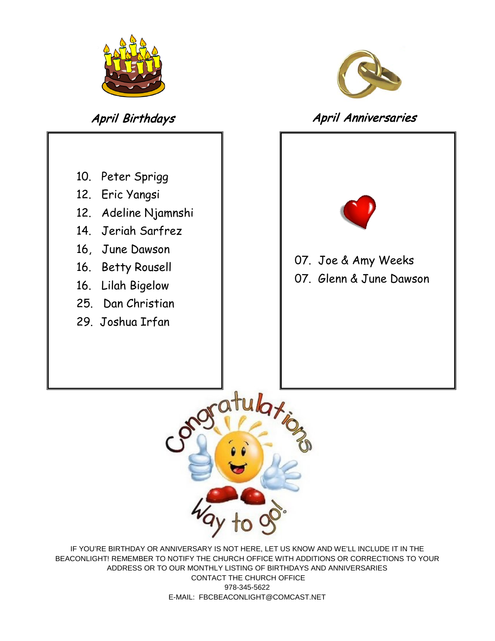



#### April Birthdays **April Anniversaries**





IF YOU'RE BIRTHDAY OR ANNIVERSARY IS NOT HERE, LET US KNOW AND WE'LL INCLUDE IT IN THE BEACONLIGHT! REMEMBER TO NOTIFY THE CHURCH OFFICE WITH ADDITIONS OR CORRECTIONS TO YOUR ADDRESS OR TO OUR MONTHLY LISTING OF BIRTHDAYS AND ANNIVERSARIES CONTACT THE CHURCH OFFICE 978-345-5622 E-MAIL: FBCBEACONLIGHT@COMCAST.NET